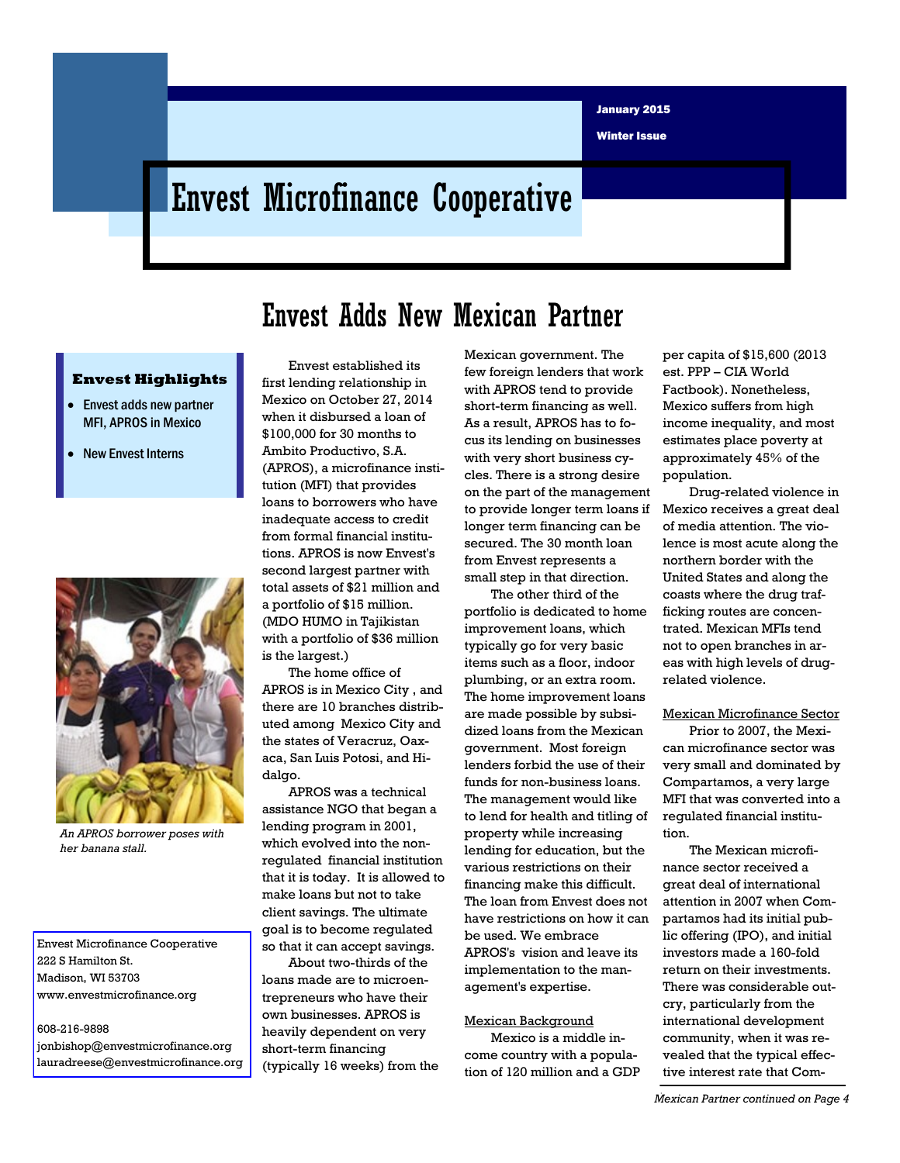Winter Issue

# Envest Microfinance Cooperative

## Envest Adds New Mexican Partner

#### **Envest Highlights**

- **Envest adds new partner** MFI, APROS in Mexico
- New Envest Interns



*An APROS borrower poses with her banana stall.* 

Envest Microfinance Cooperative 222 S Hamilton St. Madison, WI 53703 www.envestmicrofinance.org

608-216-9898 jonbishop@envestmicrofinance.org lauradreese@envestmicrofinance.org

Envest established its first lending relationship in Mexico on October 27, 2014 when it disbursed a loan of \$100,000 for 30 months to Ambito Productivo, S.A. (APROS), a microfinance institution (MFI) that provides loans to borrowers who have inadequate access to credit from formal financial institutions. APROS is now Envest's second largest partner with total assets of \$21 million and a portfolio of \$15 million. (MDO HUMO in Tajikistan with a portfolio of \$36 million is the largest.)

The home office of APROS is in Mexico City , and there are 10 branches distributed among Mexico City and the states of Veracruz, Oaxaca, San Luis Potosi, and Hidalgo.

APROS was a technical assistance NGO that began a lending program in 2001, which evolved into the nonregulated financial institution that it is today. It is allowed to make loans but not to take client savings. The ultimate goal is to become regulated so that it can accept savings.

About two-thirds of the loans made are to microentrepreneurs who have their own businesses. APROS is heavily dependent on very short-term financing (typically 16 weeks) from the Mexican government. The few foreign lenders that work with APROS tend to provide short-term financing as well. As a result, APROS has to focus its lending on businesses with very short business cycles. There is a strong desire on the part of the management to provide longer term loans if longer term financing can be secured. The 30 month loan from Envest represents a small step in that direction.

The other third of the portfolio is dedicated to home improvement loans, which typically go for very basic items such as a floor, indoor plumbing, or an extra room. The home improvement loans are made possible by subsidized loans from the Mexican government. Most foreign lenders forbid the use of their funds for non-business loans. The management would like to lend for health and titling of property while increasing lending for education, but the various restrictions on their financing make this difficult. The loan from Envest does not have restrictions on how it can be used. We embrace APROS's vision and leave its implementation to the management's expertise.

#### Mexican Background

Mexico is a middle income country with a population of 120 million and a GDP per capita of \$15,600 (2013 est. PPP – CIA World Factbook). Nonetheless, Mexico suffers from high income inequality, and most estimates place poverty at approximately 45% of the population.

Drug-related violence in Mexico receives a great deal of media attention. The violence is most acute along the northern border with the United States and along the coasts where the drug trafficking routes are concentrated. Mexican MFIs tend not to open branches in areas with high levels of drugrelated violence.

#### Mexican Microfinance Sector

Prior to 2007, the Mexican microfinance sector was very small and dominated by Compartamos, a very large MFI that was converted into a regulated financial institution.

The Mexican microfinance sector received a great deal of international attention in 2007 when Compartamos had its initial public offering (IPO), and initial investors made a 160-fold return on their investments. There was considerable outcry, particularly from the international development community, when it was revealed that the typical effective interest rate that Com-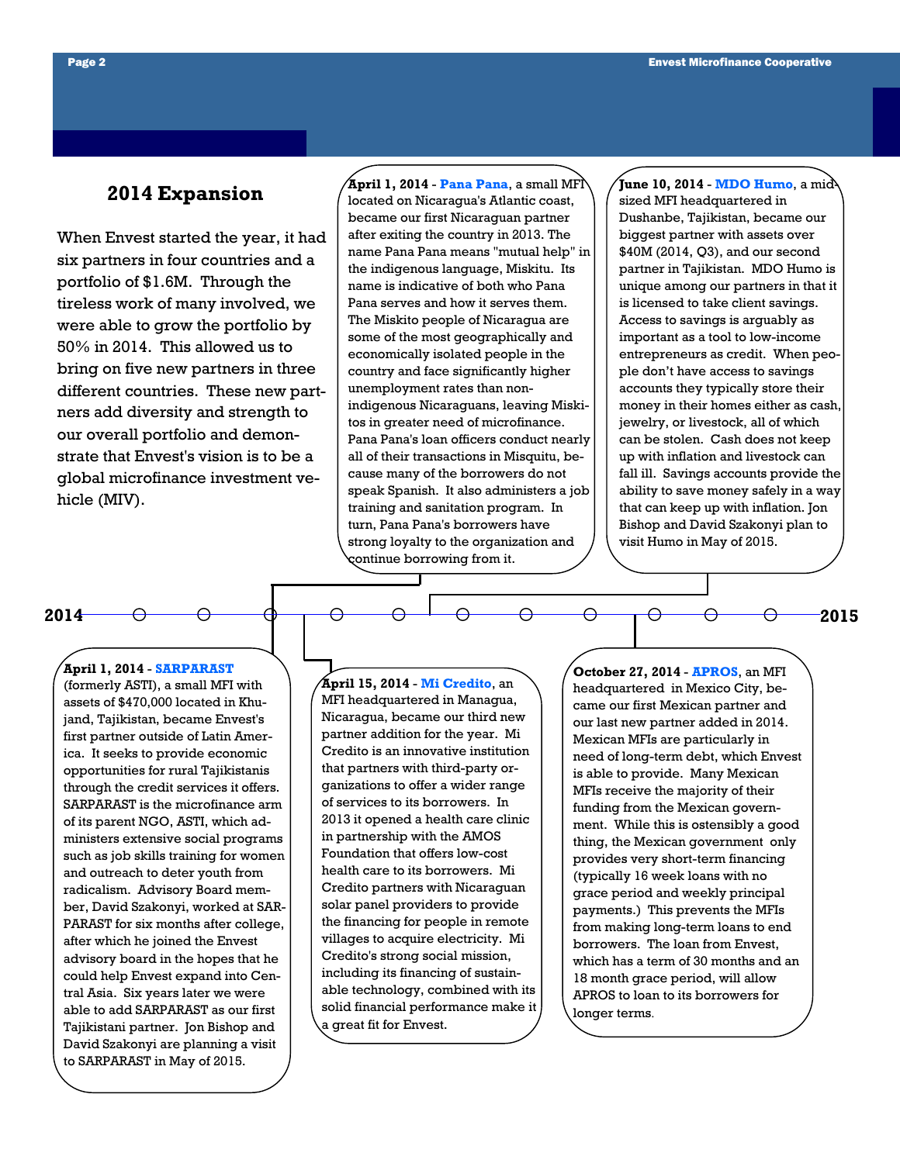### **2014 Expansion**

When Envest started the year, it had six partners in four countries and a portfolio of \$1.6M. Through the tireless work of many involved, we were able to grow the portfolio by 50% in 2014. This allowed us to bring on five new partners in three different countries. These new partners add diversity and strength to our overall portfolio and demonstrate that Envest's vision is to be a global microfinance investment vehicle (MIV).

**April 1, 2014** - **Pana Pana**, a small MFI located on Nicaragua's Atlantic coast, became our first Nicaraguan partner after exiting the country in 2013. The name Pana Pana means "mutual help" in the indigenous language, Miskitu. Its name is indicative of both who Pana Pana serves and how it serves them. The Miskito people of Nicaragua are some of the most geographically and economically isolated people in the country and face significantly higher unemployment rates than nonindigenous Nicaraguans, leaving Miskitos in greater need of microfinance. Pana Pana's loan officers conduct nearly all of their transactions in Misquitu, because many of the borrowers do not speak Spanish. It also administers a job training and sanitation program. In turn, Pana Pana's borrowers have strong loyalty to the organization and continue borrowing from it.

**June 10, 2014** - **MDO Humo**, a midsized MFI headquartered in Dushanbe, Tajikistan, became our biggest partner with assets over \$40M (2014, Q3), and our second partner in Tajikistan. MDO Humo is unique among our partners in that it is licensed to take client savings. Access to savings is arguably as important as a tool to low-income entrepreneurs as credit. When people don't have access to savings accounts they typically store their money in their homes either as cash, jewelry, or livestock, all of which can be stolen. Cash does not keep up with inflation and livestock can fall ill. Savings accounts provide the ability to save money safely in a way that can keep up with inflation. Jon Bishop and David Szakonyi plan to visit Humo in May of 2015.

**2015**

**2014**

#### **April 1, 2014** - **SARPARAST**

(formerly ASTI), a small MFI with assets of \$470,000 located in Khujand, Tajikistan, became Envest's first partner outside of Latin America. It seeks to provide economic opportunities for rural Tajikistanis through the credit services it offers. SARPARAST is the microfinance arm of its parent NGO, ASTI, which administers extensive social programs such as job skills training for women and outreach to deter youth from radicalism. Advisory Board member, David Szakonyi, worked at SAR-PARAST for six months after college, after which he joined the Envest advisory board in the hopes that he could help Envest expand into Central Asia. Six years later we were able to add SARPARAST as our first Tajikistani partner. Jon Bishop and David Szakonyi are planning a visit to SARPARAST in May of 2015.

**April 15, 2014** - **Mi Credito**, an MFI headquartered in Managua, Nicaragua, became our third new partner addition for the year. Mi Credito is an innovative institution that partners with third-party organizations to offer a wider range of services to its borrowers. In 2013 it opened a health care clinic in partnership with the AMOS Foundation that offers low-cost health care to its borrowers. Mi Credito partners with Nicaraguan solar panel providers to provide the financing for people in remote villages to acquire electricity. Mi Credito's strong social mission, including its financing of sustainable technology, combined with its solid financial performance make it a great fit for Envest.

**October 27, 2014** - **APROS**, an MFI headquartered in Mexico City, became our first Mexican partner and our last new partner added in 2014. Mexican MFIs are particularly in need of long-term debt, which Envest is able to provide. Many Mexican MFIs receive the majority of their funding from the Mexican government. While this is ostensibly a good thing, the Mexican government only provides very short-term financing (typically 16 week loans with no grace period and weekly principal payments.) This prevents the MFIs from making long-term loans to end borrowers. The loan from Envest, which has a term of 30 months and an 18 month grace period, will allow APROS to loan to its borrowers for longer terms.

⊖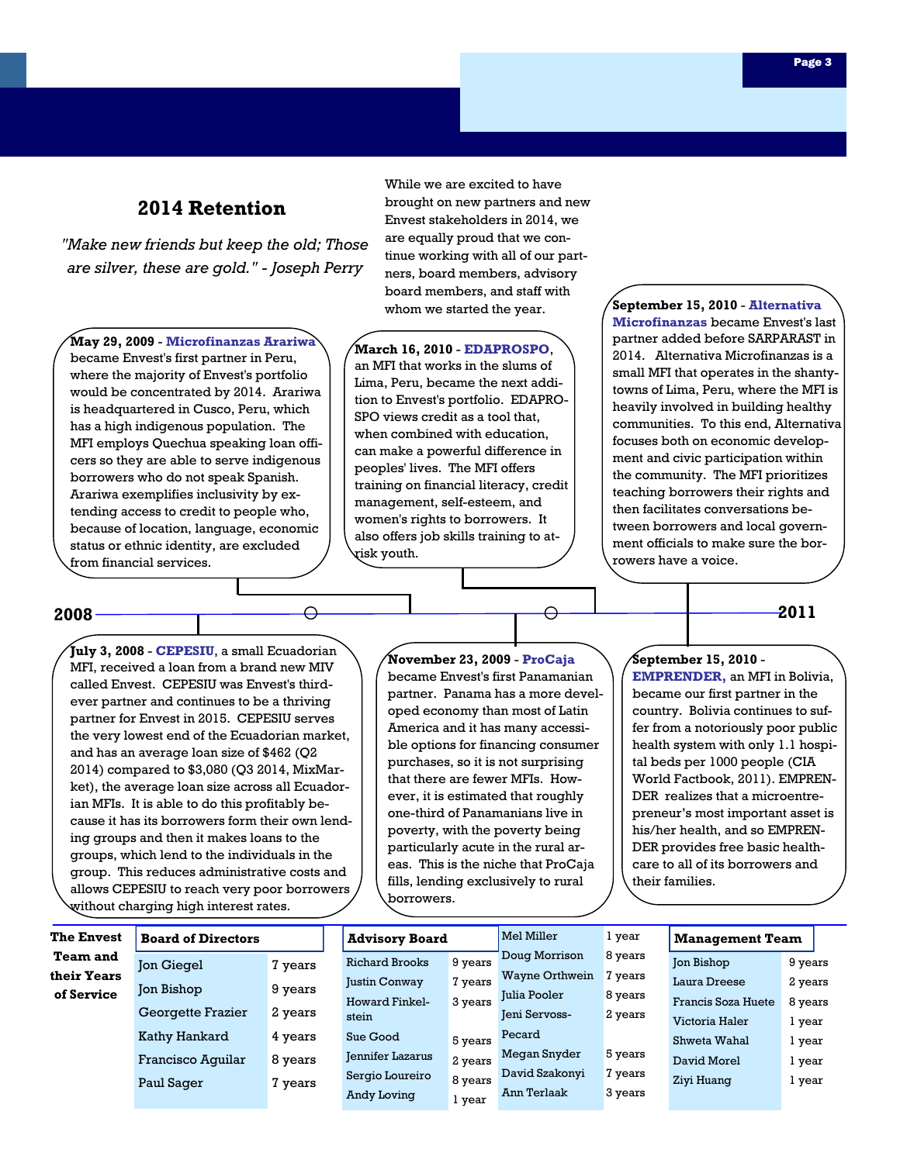## **2014 Retention**

*"Make new friends but keep the old; Those are silver, these are gold." - Joseph Perry*

**May 29, 2009** - **Microfinanzas Arariwa**  became Envest's first partner in Peru, where the majority of Envest's portfolio would be concentrated by 2014. Arariwa is headquartered in Cusco, Peru, which has a high indigenous population. The MFI employs Quechua speaking loan officers so they are able to serve indigenous borrowers who do not speak Spanish. Arariwa exemplifies inclusivity by extending access to credit to people who, because of location, language, economic status or ethnic identity, are excluded from financial services.

While we are excited to have brought on new partners and new Envest stakeholders in 2014, we are equally proud that we continue working with all of our partners, board members, advisory board members, and staff with whom we started the year.

**March 16, 2010** - **EDAPROSPO**, an MFI that works in the slums of Lima, Peru, became the next addition to Envest's portfolio. EDAPRO-SPO views credit as a tool that, when combined with education, can make a powerful difference in peoples' lives. The MFI offers training on financial literacy, credit management, self-esteem, and women's rights to borrowers. It also offers job skills training to atrisk youth.

**September 15, 2010** - **Alternativa Microfinanzas** became Envest's last partner added before SARPARAST in 2014. Alternativa Microfinanzas is a small MFI that operates in the shantytowns of Lima, Peru, where the MFI is heavily involved in building healthy communities. To this end, Alternativa focuses both on economic development and civic participation within the community. The MFI prioritizes teaching borrowers their rights and then facilitates conversations between borrowers and local government officials to make sure the borrowers have a voice.

## **2008 2011**

**July 3, 2008** - **CEPESIU**, a small Ecuadorian MFI, received a loan from a brand new MIV called Envest. CEPESIU was Envest's thirdever partner and continues to be a thriving partner for Envest in 2015. CEPESIU serves the very lowest end of the Ecuadorian market, and has an average loan size of \$462 (Q2 2014) compared to \$3,080 (Q3 2014, MixMarket), the average loan size across all Ecuadorian MFIs. It is able to do this profitably because it has its borrowers form their own lending groups and then it makes loans to the groups, which lend to the individuals in the group. This reduces administrative costs and allows CEPESIU to reach very poor borrowers without charging high interest rates.

**November 23, 2009** - **ProCaja** became Envest's first Panamanian partner. Panama has a more developed economy than most of Latin America and it has many accessible options for financing consumer purchases, so it is not surprising that there are fewer MFIs. However, it is estimated that roughly one-third of Panamanians live in poverty, with the poverty being particularly acute in the rural areas. This is the niche that ProCaja fills, lending exclusively to rural borrowers.

#### **September 15, 2010** -

**EMPRENDER,** an MFI in Bolivia, became our first partner in the country. Bolivia continues to suffer from a notoriously poor public health system with only 1.1 hospital beds per 1000 people (CIA World Factbook, 2011). EMPREN-DER realizes that a microentrepreneur's most important asset is his/her health, and so EMPREN-DER provides free basic healthcare to all of its borrowers and their families.

| <b>The Envest</b> | <b>Board of Directors</b> |         | <b>Advisory Board</b> |          | Mel Miller            | l year  | <b>Management Team</b> |         |  |
|-------------------|---------------------------|---------|-----------------------|----------|-----------------------|---------|------------------------|---------|--|
| <b>Team and</b>   | <b>Jon Giegel</b>         | 7 years | <b>Richard Brooks</b> | 9 years  | Doug Morrison         | 8 years | Jon Bishop             | 9 years |  |
| their Years       |                           |         | Justin Conway         | 7 years  | <b>Wayne Orthwein</b> | 7 years | Laura Dreese           | 2 years |  |
| of Service        | Jon Bishop                | 9 years | <b>Howard Finkel-</b> | 3 years  | Julia Pooler          | 8 years | Francis Soza Huete     | 8 years |  |
|                   | Georgette Frazier         | 2 years | stein                 |          | Jeni Servoss-         | 2 years | Victoria Haler         | l year  |  |
|                   | Kathy Hankard             | 4 years | Sue Good              | 5 years  | Pecard                |         | Shweta Wahal           | l year  |  |
|                   | Francisco Aquilar         | 8 years | Jennifer Lazarus      | 2 years  | Megan Snyder          | 5 years | David Morel            | l year  |  |
|                   | Paul Sager                | 7 years | Sergio Loureiro       | 8 years  | David Szakonyi        | 7 years | Ziyi Huang             | l year  |  |
|                   |                           |         | Andy Loving           | $\theta$ | Ann Terlaak           | 3 years |                        |         |  |

1 year